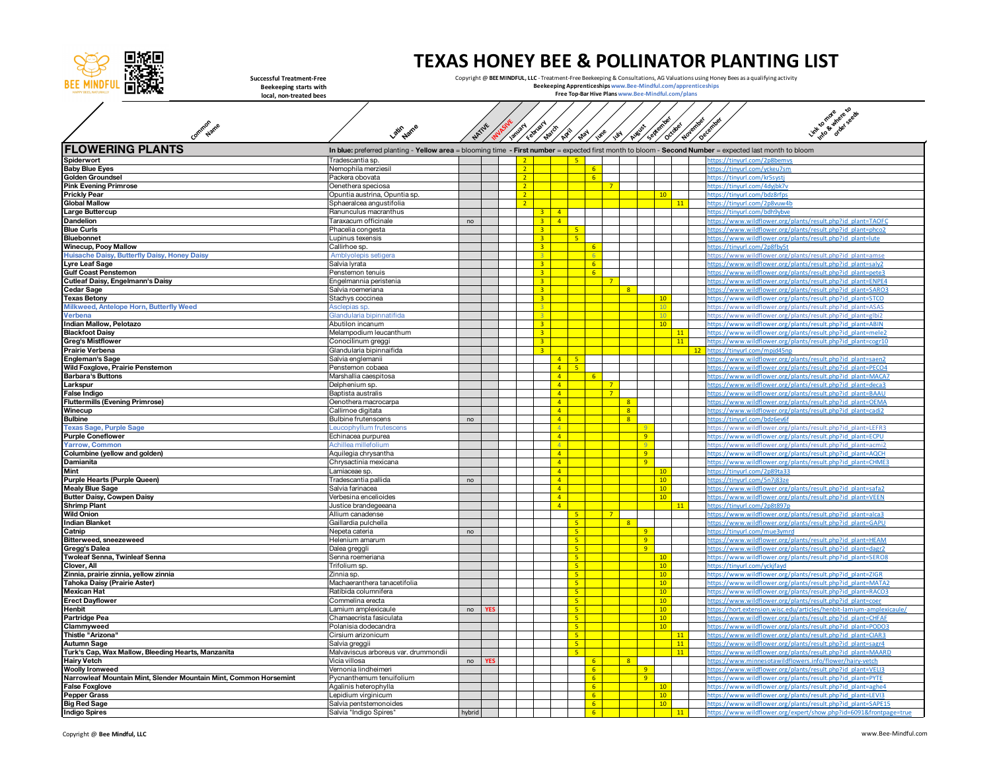

**Common Name**

## **TEXAS HONEY BEE & POLLINATOR PLANTING LIST**

**Successful Treatment-Free Beekeeping starts with local, non-treated bees**

Copyright @ **BEE MINDFUL, LLC** - Treatment-Free Beekeeping & Consultations, AG Valuations using Honey Bees as a qualifying activity<br>**Beekeeping Apprenticeships sw**ww.Bee-Mindful.com/apprenticeships<br>**Free Top-Bar Hive Plan** 



| <b>FLOWERING PLANTS</b><br>In blue: preferred planting - Yellow area = blooming time - First number = expected first month to bloom - Second Number = expected last month to bloom |                                                |                |            |                |                |                |                                  |                |                               |                |                |                  |    |    |                                                                                                                            |
|------------------------------------------------------------------------------------------------------------------------------------------------------------------------------------|------------------------------------------------|----------------|------------|----------------|----------------|----------------|----------------------------------|----------------|-------------------------------|----------------|----------------|------------------|----|----|----------------------------------------------------------------------------------------------------------------------------|
| Spiderwort                                                                                                                                                                         | Tradescantia sp.                               |                |            |                |                |                |                                  |                |                               |                |                |                  |    |    | https://tinvurl.com/2p8be                                                                                                  |
| <b>Baby Blue Eyes</b>                                                                                                                                                              | Nemophila merziesil                            |                |            | 2 <sup>7</sup> |                |                |                                  | 6 <sup>1</sup> |                               |                |                |                  |    |    | nttps://tinvurl.com/vckeu7sm                                                                                               |
| <b>Golden Groundsel</b>                                                                                                                                                            | Packera obovata                                |                |            | 2 <sup>7</sup> |                |                |                                  | 6 <sup>1</sup> |                               |                |                |                  |    |    | https://tinvurl.com/kr5svsti                                                                                               |
| <b>Pink Evening Primrose</b>                                                                                                                                                       | Oenethera speciosa                             |                |            | $2^{\circ}$    |                |                |                                  |                | $7^{\circ}$                   |                |                |                  |    |    | https://tinyurl.com/4dyjbk7v                                                                                               |
| <b>Prickly Pear</b>                                                                                                                                                                | )puntia austrina, Opuntia sp.                  |                |            | 2 <sup>7</sup> |                |                |                                  |                |                               |                |                | 10               |    |    | https://tinvurl.com/bdz8rfps                                                                                               |
| <b>Global Mallow</b>                                                                                                                                                               | Sphaeralcea angustifolia                       |                |            | $\overline{2}$ |                |                |                                  |                |                               |                |                |                  | 11 |    | https://tinvurl.com/2p8vuw4b                                                                                               |
| <b>Large Buttercup</b>                                                                                                                                                             | Ranunculus macranthus                          |                |            |                | 3              | $\overline{4}$ |                                  |                |                               |                |                |                  |    |    | https://tinvurl.com/bdh9vbve                                                                                               |
| <b>Dandelion</b>                                                                                                                                                                   | Taraxacum officinale                           | no             |            |                | 3 <sup>°</sup> | $\Delta$       |                                  |                |                               |                |                |                  |    |    | https://www.wildflower.org/plants/result.php?id_plant=TAOFC                                                                |
| <b>Blue Curls</b>                                                                                                                                                                  | Phacelia congesta                              |                |            |                | $\overline{3}$ |                | 5 <sup>1</sup>                   |                |                               |                |                |                  |    |    | https://www.wildflower.org/plants/result.php?id_plant=phco.                                                                |
| <b>Bluebonnet</b>                                                                                                                                                                  | upinus texensis.                               |                |            |                | $\overline{3}$ |                | $\mathbf{r}_i$                   |                |                               |                |                |                  |    |    | https://www.wildflower.org/plants/result.php?id_plant=lute                                                                 |
| <b>Winecup, Pooy Mallow</b>                                                                                                                                                        | Callirhoe sp.                                  |                |            |                | $\overline{3}$ |                |                                  | 6 <sup>1</sup> |                               |                |                |                  |    |    | https://tinyurl.com/2p8fby5t                                                                                               |
| Huisache Daisy, Butterfly Daisy, Honey Daisy                                                                                                                                       | Amblyolepis setigera                           |                |            |                | $\overline{a}$ |                |                                  | $\mathsf{R}$   |                               |                |                |                  |    |    | https://www.wildflower.org/plants/result.php?id_plant=amse                                                                 |
| Lyre Leaf Sage                                                                                                                                                                     | Salvia lyrata                                  |                |            |                | $\overline{a}$ |                |                                  | 6 <sup>1</sup> |                               |                |                |                  |    |    | https://www.wildflower.org/plants/result.php?id_plant=salv                                                                 |
| <b>Gulf Coast Penstemon</b>                                                                                                                                                        | Penstemon tenuis                               |                |            |                | $\mathbf{R}$   |                |                                  | 6 <sup>1</sup> |                               |                |                |                  |    |    | https://www.wildflower.org/plants/result.php?id_plant=pete3                                                                |
| Cutleaf Daisy, Engelmann's Daisy                                                                                                                                                   | Engelmannia peristenia                         |                |            |                | 3              |                |                                  |                | $7\overline{}$                |                |                |                  |    |    | https://www.wildflower.org/plants/result.php?id_plant=ENPE4                                                                |
| <b>Cedar Sage</b>                                                                                                                                                                  | Salvia roemeriana                              |                |            |                | $\overline{3}$ |                |                                  |                |                               | $\mathbf{R}$   |                |                  |    |    | https://www.wildflower.org/plants/result.php?id_plant=SARO3                                                                |
| <b>Texas Betony</b>                                                                                                                                                                | Stachys coccinea                               |                |            |                | $\overline{a}$ |                |                                  |                |                               |                |                | 10               |    |    | https://www.wildflower.org/plants/result.php?id_plant=STCO                                                                 |
| Milkweed, Antelope Horn, Butterfly Weed                                                                                                                                            | sclepias sp.                                   |                |            |                |                |                |                                  |                |                               |                |                |                  |    |    | https://www.wildflower.org/plants/result.php?id_plant=ASAS                                                                 |
| <b>Verbena</b>                                                                                                                                                                     | Glandularia bipinnatifida                      |                |            |                | $\mathbf{R}$   |                |                                  |                |                               |                |                |                  |    |    | https://www.wildflower.org/plants/result.php?id_plant=glbi2                                                                |
| Indian Mallow, Pelotazo                                                                                                                                                            | Abutilon incanum                               |                |            |                | $\overline{3}$ |                |                                  |                |                               |                |                | 10               |    |    | https://www.wildflower.org/plants/result.php?id_plant=ABIN                                                                 |
| <b>Blackfoot Daisy</b>                                                                                                                                                             | Melampodium leucanthum                         |                |            |                | $\overline{3}$ |                |                                  |                |                               |                |                |                  | 11 |    | https://www.wildflower.org/plants/result.php?id_plant=mele2                                                                |
| <b>Greg's Mistflower</b>                                                                                                                                                           | Conocilinum greggi                             |                |            |                | $\overline{3}$ |                |                                  |                |                               |                |                |                  | 11 |    | https://www.wildflower.org/plants/result.php?id_plant=cogr10                                                               |
| <b>Prairie Verbena</b>                                                                                                                                                             | Glandularia bipinnaifida                       |                |            |                | $\overline{3}$ | 4 <sup>1</sup> | 5                                |                |                               |                |                |                  |    | 12 | https://tinyurl.com/mpjd45np<br>https://www.wildflower.org/plants/result.php?id_plant=saen2                                |
| <b>Engleman's Sage</b>                                                                                                                                                             | Salvia englemani                               |                |            |                |                | 4              | $\overline{\mathbf{S}}$          |                |                               |                |                |                  |    |    |                                                                                                                            |
| Wild Foxglove, Prairie Penstemon                                                                                                                                                   | Penstemon cobaea                               |                |            |                |                | $\mathbf{A}$   |                                  |                |                               |                |                |                  |    |    | https://www.wildflower.org/plants/result.php?id_plant=PECO4                                                                |
| <b>Barbara's Buttons</b>                                                                                                                                                           | Marshallia caespitosa                          |                |            |                |                | $\overline{4}$ |                                  |                |                               |                |                |                  |    |    | https://www.wildflower.org/plants/result.php?id_plant=MACA7                                                                |
| Larkspur<br><b>False Indigo</b>                                                                                                                                                    | Delphenium sp.<br>Baptista australis           |                |            |                |                | $\overline{4}$ |                                  |                | $\overline{7}$<br>$7^{\circ}$ |                |                |                  |    |    | https://www.wildflower.org/plants/result.php?id_plant=deca3<br>https://www.wildflower.org/plants/result.php?id_plant=BAAI  |
| <b>Fluttermills (Evening Primrose)</b>                                                                                                                                             | )enothera macrocarpa                           |                |            |                |                | $\overline{4}$ |                                  |                |                               | $\overline{8}$ |                |                  |    |    | https://www.wildflower.org/plants/result.php?id_plant=OEMA                                                                 |
| Winecup                                                                                                                                                                            | allimoe digitata                               |                |            |                |                | $\overline{4}$ |                                  |                |                               | $\overline{8}$ |                |                  |    |    | https://www.wildflower.org/plants/result.php?id_plant=cadi2                                                                |
| <b>Bulbine</b>                                                                                                                                                                     | Bulbine frutenscens                            | no             |            |                |                | $\overline{4}$ |                                  |                |                               | $\overline{8}$ |                |                  |    |    | https://tinyurl.com/bdz6ev6f                                                                                               |
| <b>Texas Sage, Purple Sage</b>                                                                                                                                                     | eucophyllum frutescens                         |                |            |                |                | $\Lambda$      |                                  |                |                               |                |                |                  |    |    | https://www.wildflower.org/plants/result.php?id_plant=LEFR3                                                                |
| <b>Purple Coneflower</b>                                                                                                                                                           | Echinacea purpurea                             |                |            |                |                | $\overline{4}$ |                                  |                |                               |                | $\overline{q}$ |                  |    |    | https://www.wildflower.org/plants/result.php?id_plant=ECPL                                                                 |
| <b>Yarrow, Common</b>                                                                                                                                                              | Achillea millefolium                           |                |            |                |                | $\mathbf{A}$   |                                  |                |                               |                | $\alpha$       |                  |    |    | https://www.wildflower.org/plants/result.php?id_plant=acmi                                                                 |
| Columbine (yellow and golden)                                                                                                                                                      | Aquilegia chrysantha                           |                |            |                |                | 4 <sup>1</sup> |                                  |                |                               |                | 9              |                  |    |    | https://www.wildflower.org/plants/result.php?id_plant=AQCH                                                                 |
| Damianita                                                                                                                                                                          | Chrysactinia mexicana                          |                |            |                |                | $\overline{4}$ |                                  |                |                               |                | $\overline{q}$ |                  |    |    | https://www.wildflower.org/plants/result.php?id_plant=CHME                                                                 |
| Mint                                                                                                                                                                               | amiaceae sp.                                   |                |            |                |                | $\overline{4}$ |                                  |                |                               |                |                | 10               |    |    | https://tinvurl.com/2p89ta33                                                                                               |
| <b>Purple Hearts (Purple Queen)</b>                                                                                                                                                | Tradescantia pallida                           | n <sub>0</sub> |            |                |                | $\Lambda$      |                                  |                |                               |                |                | 10 <sub>10</sub> |    |    | https://tinvurl.com/5n7i83ze                                                                                               |
| <b>Mealy Blue Sage</b>                                                                                                                                                             | Salvia farinacea                               |                |            |                |                | $\overline{4}$ |                                  |                |                               |                |                | 10               |    |    | https://www.wildflower.org/plants/result.php?id_plant=safa2                                                                |
| <b>Butter Daisy, Cowpen Daisy</b>                                                                                                                                                  | /erbesina encelioides                          |                |            |                |                | $\overline{4}$ |                                  |                |                               |                |                | 10               |    |    | https://www.wildflower.org/plants/result.php?id_plant=VEEN                                                                 |
| <b>Shrimp Plant</b>                                                                                                                                                                | Justice brandegeeana                           |                |            |                |                | $\lambda$      |                                  |                |                               |                |                |                  | 11 |    | https://tinvurl.com/2n8t897i                                                                                               |
| <b>Wild Onion</b>                                                                                                                                                                  | Allium canadense                               |                |            |                |                |                |                                  |                |                               |                |                |                  |    |    | https://www.wildflower.org/plants/result.php?id_plant=alca3                                                                |
| <b>Indian Blanket</b>                                                                                                                                                              | Gaillardia pulchella                           |                |            |                |                |                | 5 <sup>1</sup>                   |                |                               | $\mathbf{R}$   |                |                  |    |    | https://www.wildflower.org/plants/result.php?id_plant=GAPU                                                                 |
| Catnip                                                                                                                                                                             | Nepeta cateria                                 | no             |            |                |                |                | 5 <sup>1</sup>                   |                |                               |                | 9              |                  |    |    | https://tinyurl.com/mue3ymrd                                                                                               |
| Bitterweed, sneezeweed                                                                                                                                                             | Helenium amarum                                |                |            |                |                |                | 5 <sup>1</sup>                   |                |                               |                | 9              |                  |    |    | https://www.wildflower.org/plants/result.php?id_plant=HEAM                                                                 |
| Gregg's Dalea                                                                                                                                                                      | Dalea greggli                                  |                |            |                |                |                | $\overline{\mathbf{S}}$          |                |                               |                | 9              |                  |    |    | https://www.wildflower.org/plants/result.php?id_plant=dagr2                                                                |
| <b>Twoleaf Senna, Twinleaf Senna</b>                                                                                                                                               | Senna roemeriana                               |                |            |                |                |                | 5 <sup>1</sup>                   |                |                               |                |                | 10               |    |    | https://www.wildflower.org/plants/result.php?id_plant=SERO8                                                                |
| Clover, All                                                                                                                                                                        | Trifolium sp                                   |                |            |                |                |                | 5 <sup>1</sup>                   |                |                               |                |                | 10               |    |    | https://tinyurl.com/yckjfayd                                                                                               |
| Zinnia, prairie zinnia, yellow zinnia                                                                                                                                              | Zinnia sp.                                     |                |            |                |                |                | $\overline{\mathbf{5}}$          |                |                               |                |                | 10               |    |    | https://www.wildflower.org/plants/result.php?id_plant=ZIGF                                                                 |
| <b>Tahoka Daisy (Prairie Aster)</b>                                                                                                                                                | Machaeranthera tanacetifolia                   |                |            |                |                |                | 5 <sup>1</sup>                   |                |                               |                |                | 10               |    |    | https://www.wildflower.org/plants/result.php?id_plant=MATA2                                                                |
| <b>Mexican Hat</b>                                                                                                                                                                 | Ratibida columnifera                           |                |            |                |                |                | 5 <sup>1</sup>                   |                |                               |                |                | 10               |    |    | https://www.wildflower.org/plants/result.php?id_plant=RACO3                                                                |
| <b>Erect Dayflower</b>                                                                                                                                                             | Commelina erecta                               |                |            |                |                |                | 5 <sup>1</sup>                   |                |                               |                |                | 10               |    |    | https://www.wildflower.org/plants/result.php?id_plant=coe                                                                  |
| Henbit                                                                                                                                                                             | amium amplexicaule.<br>Chamaecrista fasiculata | no             |            |                |                |                | 5 <sup>1</sup><br>5 <sup>1</sup> |                |                               |                |                | 10<br>10         |    |    | https://hort.extension.wisc.edu/articles/henbit-lamium-amplexicaule/                                                       |
| <b>Partridge Pea</b>                                                                                                                                                               | Polanisia dodecandra                           |                |            |                |                |                | $5\overline{5}$                  |                |                               |                |                | 10               |    |    | https://www.wildflower.org/plants/result.php?id_plant=CHFAF<br>https://www.wildflower.org/plants/result.php?id_plant=PODO3 |
| Clammyweed<br>Thistle "Arizona"                                                                                                                                                    |                                                |                |            |                |                |                | 5 <sup>1</sup>                   |                |                               |                |                |                  | 11 |    | https://www.wildflower.org/plants/result.php?id_plant=CIAR3                                                                |
| <b>Autumn Sage</b>                                                                                                                                                                 | Cirsium arizonicum<br>Salvia greggii           |                |            |                |                |                | $\mathbf{r}$                     |                |                               |                |                |                  | 11 |    | https://www.wildflower.org/plants/result.php?id_plant=sagr4                                                                |
| Turk's Cap, Wax Mallow, Bleeding Hearts, Manzanita                                                                                                                                 | Malvaviscus arboreus var. drummondii           |                |            |                |                |                | $\mathbf{r}_i$                   |                |                               |                |                |                  | 11 |    | https://www.wildflower.org/plants/result.php?id_plant=MAARD                                                                |
| <b>Hairy Vetch</b>                                                                                                                                                                 | Vicia villosa                                  | no             | <b>/ES</b> |                |                |                |                                  | 6 <sup>1</sup> |                               | 8              |                |                  |    |    | https://www.minnesotawildflowers.info/flower/hairy-vetch                                                                   |
| <b>Woolly Ironweed</b>                                                                                                                                                             | Vernonia lindheimeri                           |                |            |                |                |                |                                  | 6              |                               |                | $\overline{9}$ |                  |    |    | https://www.wildflower.org/plants/result.php?id_plant=VELI3                                                                |
| Narrowleaf Mountain Mint, Slender Mountain Mint, Common Horsemint                                                                                                                  | Pycnanthemum tenuifolium                       |                |            |                |                |                |                                  | 6 <sup>1</sup> |                               |                | 9              |                  |    |    | https://www.wildflower.org/plants/result.php?id_plant=PYTI                                                                 |
| <b>False Foxglove</b>                                                                                                                                                              | Agalinis heterophylla                          |                |            |                |                |                |                                  | 6 <sup>1</sup> |                               |                |                | 10               |    |    | https://www.wildflower.org/plants/result.php?id_plant=aghe4                                                                |
| <b>Pepper Grass</b>                                                                                                                                                                | Lepidium virginicum                            |                |            |                |                |                |                                  | 6 <sup>1</sup> |                               |                |                | 10               |    |    | https://www.wildflower.org/plants/result.php?id_plant=LEVI3                                                                |
| <b>Big Red Sage</b>                                                                                                                                                                | Salvia pentstemonoides                         |                |            |                |                |                |                                  | 6              |                               |                |                | 10               |    |    | https://www.wildflower.org/plants/result.php?id_plant=SAPE15                                                               |
| <b>Indigo Spires</b>                                                                                                                                                               | Salvia "Indigo Spires"                         | hybrid         |            |                |                |                |                                  | 6 <sup>1</sup> |                               |                |                |                  | 11 |    | https://www.wildflower.org/expert/show.php?id=6091&frontpage=true                                                          |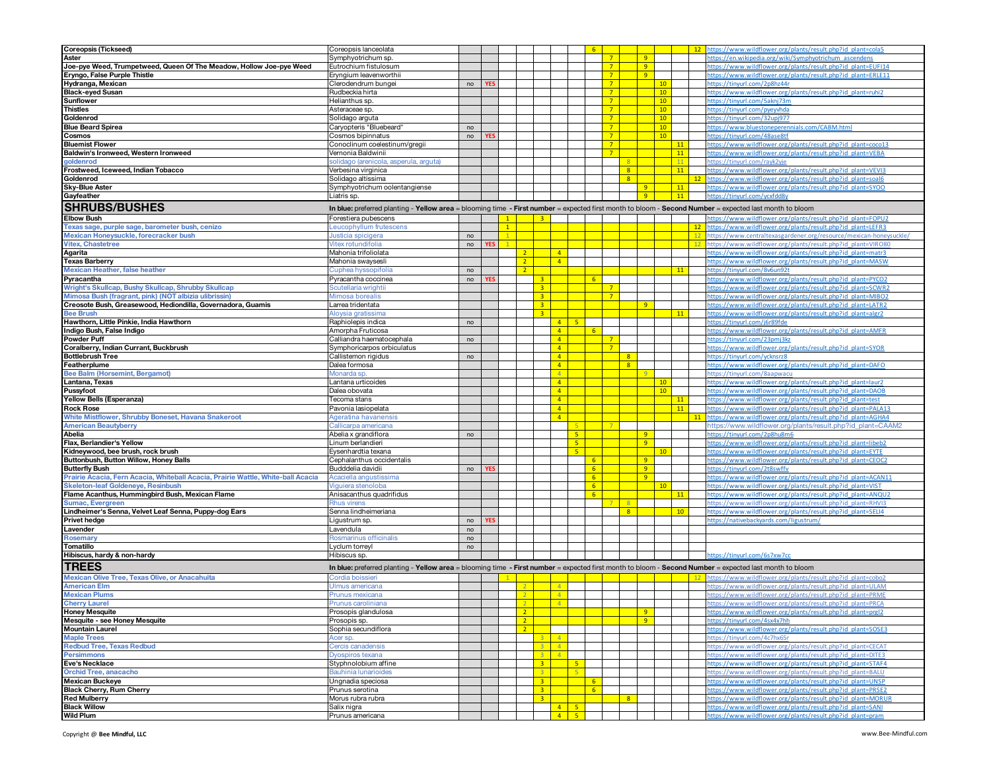| <b>Coreopsis (Tickseed)</b>                                                      | Coreopsis lanceolata                                                                                                                                    |    |     |                |                |                         |                |                         | 6              |                |              |                |    |    | https://www.wildflower.org/plants/result.php?id_plant=cola5<br>12 |
|----------------------------------------------------------------------------------|---------------------------------------------------------------------------------------------------------------------------------------------------------|----|-----|----------------|----------------|-------------------------|----------------|-------------------------|----------------|----------------|--------------|----------------|----|----|-------------------------------------------------------------------|
| Aster                                                                            | Symphyotrichum sp.                                                                                                                                      |    |     |                |                |                         |                |                         |                | $\overline{7}$ |              | 9              |    |    | ittps://en.wikipedia.org/wiki/Symphyotrichum_ascendens            |
| Joe-pye Weed, Trumpetweed, Queen Of The Meadow, Hollow Joe-pye Weed              | Eutrochium fistulosum                                                                                                                                   |    |     |                |                |                         |                |                         |                | $7^{\circ}$    |              | -9             |    |    | https://www.wildflower.org/plants/result.php?id_plant=EUFI14      |
|                                                                                  |                                                                                                                                                         |    |     |                |                |                         |                |                         |                |                |              |                |    |    |                                                                   |
| Eryngo, False Purple Thistle                                                     | Ervngium leavenworthii                                                                                                                                  |    |     |                |                |                         |                |                         |                | $7^{\circ}$    |              | 9              |    |    | https://www.wildflower.org/plants/result.php?id_plant=ERLE11      |
| Hydranga, Mexican                                                                | Clerodendrum bungei                                                                                                                                     | no |     |                |                |                         |                |                         |                | $\overline{7}$ |              |                | 10 |    | https://tinyurl.com/2p8hz44r                                      |
| <b>Black-eyed Susan</b>                                                          | Rudbeckia hirta                                                                                                                                         |    |     |                |                |                         |                |                         |                | $\overline{7}$ |              |                | 10 |    | https://www.wildflower.org/plants/result.php?id_plant=ruhi2       |
|                                                                                  |                                                                                                                                                         |    |     |                |                |                         |                |                         |                |                |              |                |    |    |                                                                   |
| <b>Sunflower</b>                                                                 | Helianthus sp.                                                                                                                                          |    |     |                |                |                         |                |                         |                | 7              |              |                | 10 |    | https://tinyurl.com/5aknj73m                                      |
| <b>Thistles</b>                                                                  | Asteraceae sp.                                                                                                                                          |    |     |                |                |                         |                |                         |                | 7              |              |                | 10 |    | https://tinyurl.com/pyeyvhda                                      |
| Goldenrod                                                                        | Solidago arguta                                                                                                                                         |    |     |                |                |                         |                |                         |                | 7              |              |                | 10 |    | https://tinvurl.com/32upi977                                      |
|                                                                                  |                                                                                                                                                         |    |     |                |                |                         |                |                         |                | $\overline{7}$ |              |                |    |    | https://www.bluestoneperennials.com/CABM.htm                      |
| <b>Blue Beard Spirea</b>                                                         | `aryopteris "Bluebeard"                                                                                                                                 | no |     |                |                |                         |                |                         |                |                |              |                | 10 |    |                                                                   |
| Cosmos                                                                           | Cosmos bipinnatus                                                                                                                                       | no |     |                |                |                         |                |                         |                | 7              |              |                | 10 |    | https://tinyurl.com/48ase8tf                                      |
| <b>Bluemist Flower</b>                                                           | Conoclinum coelestinum/gregii                                                                                                                           |    |     |                |                |                         |                |                         |                | $\overline{7}$ |              |                | 11 |    | https://www.wildflower.org/plants/result.php?id_plant=coco13      |
|                                                                                  |                                                                                                                                                         |    |     |                |                |                         |                |                         |                |                |              |                | 11 |    | https://www.wildflower.org/plants/result.php?id_plant=VEBA        |
| Baldwin's Ironweed, Western Ironweed                                             | Vernonia Baldwinii                                                                                                                                      |    |     |                |                |                         |                |                         |                |                |              |                |    |    |                                                                   |
| goldenrod                                                                        | olidago (arenicola, asperula, arguta)                                                                                                                   |    |     |                |                |                         |                |                         |                |                |              |                | 11 |    | https://tinvurl.com/ravk2vie                                      |
| Frostweed, Iceweed, Indian Tobacco                                               | Verbesina virginica                                                                                                                                     |    |     |                |                |                         |                |                         |                |                | 8            |                |    | 11 | https://www.wildflower.org/plants/result.php?id_plant=VEVI3       |
| Goldenrod                                                                        | Solidago altissima                                                                                                                                      |    |     |                |                |                         |                |                         |                |                | 8            |                |    | 12 | https://www.wildflower.org/plants/result.php?id_plant=soal        |
|                                                                                  |                                                                                                                                                         |    |     |                |                |                         |                |                         |                |                |              |                |    |    |                                                                   |
| <b>Sky-Blue Aster</b>                                                            | Symphyotrichum oolentangiense                                                                                                                           |    |     |                |                |                         |                |                         |                |                |              | 9              |    | 11 | https://www.wildflower.org/plants/result.php?id_plant=SYOO        |
| Gayfeather                                                                       | Liatris sp.                                                                                                                                             |    |     |                |                |                         |                |                         |                |                |              | 9              |    | 11 | https://tinvurl.com/vcxfdd8v                                      |
|                                                                                  |                                                                                                                                                         |    |     |                |                |                         |                |                         |                |                |              |                |    |    |                                                                   |
| <b>SHRUBS/BUSHES</b>                                                             | In blue: preferred planting - Yellow area = blooming time - First number = expected first month to bloom - Second Number = expected last month to bloom |    |     |                |                |                         |                |                         |                |                |              |                |    |    |                                                                   |
| <b>Elbow Bush</b>                                                                | Forestiera pubescens                                                                                                                                    |    |     | $\blacksquare$ |                | $\overline{\mathbf{3}}$ |                |                         |                |                |              |                |    |    | https://www.wildflower.org/plants/result.php?id_plant=FOPU2       |
|                                                                                  |                                                                                                                                                         |    |     |                |                |                         |                |                         |                |                |              |                |    |    |                                                                   |
| Texas sage, purple sage, barometer bush, cenizo                                  | eucophyllum frutescens                                                                                                                                  |    |     | $\overline{1}$ |                |                         |                |                         |                |                |              |                |    | 12 | https://www.wildflower.org/plants/result.php?id_plant=LEFR3       |
| Mexican Honeysuckle, forecracker bush                                            | usticia spicigera                                                                                                                                       | no |     |                |                |                         |                |                         |                |                |              |                |    | 12 | https://www.centraltexasgardener.org/resource/mexican-honeysuckle |
| <b>Vitex, Chastetree</b>                                                         | 'itex rotundifolia                                                                                                                                      | no | YES |                |                |                         |                |                         |                |                |              |                |    | 12 | https://www.wildflower.org/plants/result.php?id_plant=VIRO80      |
|                                                                                  |                                                                                                                                                         |    |     |                |                |                         |                |                         |                |                |              |                |    |    |                                                                   |
| Agarita                                                                          | Vlahonia trifoliolata                                                                                                                                   |    |     |                | $\overline{2}$ |                         | $\overline{4}$ |                         |                |                |              |                |    |    | https://www.wildflower.org/plants/result.php?id_plant=matr3       |
| <b>Texas Barberry</b>                                                            | Vlahonia swaysesli                                                                                                                                      |    |     |                | $\overline{2}$ |                         | $\overline{4}$ |                         |                |                |              |                |    |    | https://www.wildflower.org/plants/result.php?id_plant=MASW        |
| <b>Mexican Heather, false heather</b>                                            | uphea hyssopifolia                                                                                                                                      | no |     |                | $\overline{2}$ |                         |                |                         |                |                |              |                |    | 11 | https://tinyurl.com/8v6un92t                                      |
|                                                                                  |                                                                                                                                                         |    |     |                |                |                         |                |                         |                |                |              |                |    |    |                                                                   |
| Pyracantha                                                                       | Pyracantha coccinea                                                                                                                                     | no |     |                |                | $\overline{\mathbf{3}}$ |                |                         | $6^{\circ}$    |                |              |                |    |    | https://www.wildflower.org/plants/result.php?id_plant=PYCO2       |
| Wright's Skullcap, Bushy Skullcap, Shrubby Skullcap                              | cutellaria wrighti                                                                                                                                      |    |     |                |                | 3 <sup>7</sup>          |                |                         |                | 7              |              |                |    |    | https://www.wildflower.org/plants/result.php?id_plant=SCWRI       |
| Mimosa Bush (fragrant, pink) (NOT albizia ulibrissin)                            | <i>l</i> imosa borealis                                                                                                                                 |    |     |                |                | 3 <sup>7</sup>          |                |                         |                | 7              |              |                |    |    | https://www.wildflower.org/plants/result.php?id_plant=MIBO2       |
| Creosote Bush, Greasewood, Hediondilla, Governadora, Guamis                      | .arrea tridentata                                                                                                                                       |    |     |                |                | $\overline{3}$          |                |                         |                |                |              | 9              |    |    | https://www.wildflower.org/plants/result.php?id_plant=LATR2       |
|                                                                                  |                                                                                                                                                         |    |     |                |                |                         |                |                         |                |                |              |                |    |    |                                                                   |
| <b>Bee Brush</b>                                                                 | Aloysia gratissima                                                                                                                                      |    |     |                |                | $\overline{\mathbf{3}}$ |                |                         |                |                |              |                | 11 |    | https://www.wildflower.org/plants/result.php?id_plant=algr2       |
| Hawthorn, Little Pinkie, India Hawthorn                                          | Raphiolepis indica                                                                                                                                      | no |     |                |                |                         |                | $4 \mid 5$              |                |                |              |                |    |    | https://tinvurl.com/i6r89fde                                      |
| Indigo Bush, False Indigo                                                        | Amorpha Fruticosa                                                                                                                                       |    |     |                |                |                         | $\overline{4}$ |                         | 6              |                |              |                |    |    | ittps://www.wildflower.org/plants/result.php?id_plant=AMFR        |
|                                                                                  |                                                                                                                                                         |    |     |                |                |                         |                |                         |                |                |              |                |    |    |                                                                   |
| <b>Powder Puff</b>                                                               | Calliandra haematocephala                                                                                                                               | no |     |                |                |                         | $\sqrt{4}$     |                         |                | $\overline{7}$ |              |                |    |    | https://tinvurl.com/23pmi3kz                                      |
| Coralberry, Indian Currant, Buckbrush                                            | Symphoricarpos orbiculatus                                                                                                                              |    |     |                |                |                         | $\overline{4}$ |                         |                | $\overline{7}$ |              |                |    |    | https://www.wildflower.org/plants/result.php?id_plant=SYOR        |
| <b>Bottlebrush Tree</b>                                                          | Callistemon rigidus                                                                                                                                     | no |     |                |                |                         | $\overline{4}$ |                         |                |                | 8            |                |    |    | https://tinyurl.com/ycknsrz8                                      |
| Featherplume                                                                     | Dalea formosa                                                                                                                                           |    |     |                |                |                         | $\sqrt{4}$     |                         |                |                | 8            |                |    |    | https://www.wildflower.org/plants/result.php?id_plant=DAFO        |
|                                                                                  |                                                                                                                                                         |    |     |                |                |                         |                |                         |                |                |              |                |    |    |                                                                   |
| Bee Balm (Horsemint, Bergamot)                                                   | Aonarda sp.                                                                                                                                             |    |     |                |                |                         | $\overline{4}$ |                         |                |                |              | 9              |    |    | ttps://tinvurl.com/8aapwacu                                       |
| Lantana, Texas                                                                   | antana urticoides.                                                                                                                                      |    |     |                |                |                         | $\overline{4}$ |                         |                |                |              |                | 10 |    | https://www.wildflower.org/plants/result.php?id_plant=laur2       |
| Pussyfoot                                                                        | Dalea obovata                                                                                                                                           |    |     |                |                |                         | $\sqrt{4}$     |                         |                |                |              |                | 10 |    | https://www.wildflower.org/plants/result.php?id_plant=DAOB        |
| Yellow Bells (Esperanza)                                                         | Tecoma stans                                                                                                                                            |    |     |                |                |                         | 4              |                         |                |                |              |                | 11 |    | https://www.wildflower.org/plants/result.php?id_plant=test        |
|                                                                                  |                                                                                                                                                         |    |     |                |                |                         |                |                         |                |                |              |                |    |    |                                                                   |
| <b>Rock Rose</b>                                                                 | Pavonia lasiopelata                                                                                                                                     |    |     |                |                |                         | $\overline{4}$ |                         |                |                |              |                |    | 11 | https://www.wildflower.org/plants/result.php?id_plant=PALA13      |
| White Mistflower, Shrubby Boneset, Havana Snakeroot                              | <b>geratina havanensis</b>                                                                                                                              |    |     |                |                |                         | $\overline{4}$ |                         |                |                |              |                |    | 11 | https://www.wildflower.org/plants/result.php?id_plant=AGHA4       |
| <b>American Beautyberry</b>                                                      | allicarpa americana                                                                                                                                     |    |     |                |                |                         |                | $\overline{\mathbf{5}}$ |                |                |              |                |    |    | https://www.wildflower.org/plants/result.php?id_plant=CAAM;       |
|                                                                                  |                                                                                                                                                         |    |     |                |                |                         |                |                         |                |                |              |                |    |    |                                                                   |
| Abelia                                                                           | Abelia x grandiflora                                                                                                                                    | no |     |                |                |                         |                | 5 <sup>1</sup>          |                |                |              | $-9$           |    |    | https://tinyurl.com/2p8hu8m6                                      |
| Flax, Berlandier's Yellow                                                        | .inum berlandieri                                                                                                                                       |    |     |                |                |                         |                | 5 <sub>1</sub>          |                |                |              | 9              |    |    | https://www.wildflower.org/plants/result.php?id_plant=libeb2      |
| Kidneywood, bee brush, rock brush                                                | Eysenhardtia texana                                                                                                                                     |    |     |                |                |                         |                | -5                      |                |                |              |                | 10 |    | https://www.wildflower.org/plants/result.php?id_plant=EYTE        |
|                                                                                  |                                                                                                                                                         |    |     |                |                |                         |                |                         | 6              |                |              | -9             |    |    |                                                                   |
| Buttonbush, Button Willow, Honey Balls                                           | Cephalanthus occidentalis                                                                                                                               |    |     |                |                |                         |                |                         |                |                |              |                |    |    | https://www.wildflower.org/plants/result.php?id_plant=CEOC2       |
| <b>Butterfly Bush</b>                                                            | Budddelia davidii                                                                                                                                       | no |     |                |                |                         |                |                         | 6 <sup>1</sup> |                |              | 9              |    |    | ttps://tinvurl.com/2t8swffv                                       |
| Prairie Acacia, Fern Acacia, Whiteball Acacia, Prairie Wattle, White-ball Acacia | Acaciella angustissima                                                                                                                                  |    |     |                |                |                         |                |                         | 6 <sup>1</sup> |                |              | 9              |    |    | https://www.wildflower.org/plants/result.php?id_plant=ACAN11      |
| <b>Skeleton-leaf Goldeneye, Resinbush</b>                                        | iguiera stenoloba                                                                                                                                       |    |     |                |                |                         |                |                         | 6 <sup>6</sup> |                |              |                | 10 |    | https://www.wildflower.org/plants/result.php?id_plant=VIST        |
|                                                                                  |                                                                                                                                                         |    |     |                |                |                         |                |                         |                |                |              |                |    |    |                                                                   |
| Flame Acanthus, Hummingbird Bush, Mexican Flame                                  | Anisacanthus quadrifidus                                                                                                                                |    |     |                |                |                         |                |                         | -6             |                |              |                |    | 11 | https://www.wildflower.org/plants/result.php?id_plant=ANQU        |
| <b>Sumac, Evergreen</b>                                                          | hus virens                                                                                                                                              |    |     |                |                |                         |                |                         |                |                | 8            |                |    |    | https://www.wildflower.org/plants/result.php?id_plant=RHVI3       |
| Lindheimer's Senna, Velvet Leaf Senna, Puppy-dog Ears                            | Senna lindheimeriana                                                                                                                                    |    |     |                |                |                         |                |                         |                |                | $\mathbf{8}$ |                | 10 |    | https://www.wildflower.org/plants/result.php?id_plant=SELI4       |
| <b>Privet hedge</b>                                                              | .igustrum sp.                                                                                                                                           | no |     |                |                |                         |                |                         |                |                |              |                |    |    | /1ttps://nativebackvards.com/ligustrum                            |
|                                                                                  |                                                                                                                                                         |    |     |                |                |                         |                |                         |                |                |              |                |    |    |                                                                   |
| Lavender                                                                         | _avendula                                                                                                                                               | no |     |                |                |                         |                |                         |                |                |              |                |    |    |                                                                   |
| Rosemary                                                                         | kosmarinus officinalis                                                                                                                                  | no |     |                |                |                         |                |                         |                |                |              |                |    |    |                                                                   |
| Tomatillo                                                                        | _yclum torreyl                                                                                                                                          | no |     |                |                |                         |                |                         |                |                |              |                |    |    |                                                                   |
| Hibiscus, hardy & non-hardy                                                      | Hibiscus sp.                                                                                                                                            |    |     |                |                |                         |                |                         |                |                |              |                |    |    | https://tinvurl.com/6s7xw7cc                                      |
|                                                                                  |                                                                                                                                                         |    |     |                |                |                         |                |                         |                |                |              |                |    |    |                                                                   |
| <b>TREES</b>                                                                     | In blue: preferred planting - Yellow area = blooming time - First number = expected first month to bloom - Second Number = expected last month to bloom |    |     |                |                |                         |                |                         |                |                |              |                |    |    |                                                                   |
|                                                                                  |                                                                                                                                                         |    |     |                |                |                         |                |                         |                |                |              |                |    |    |                                                                   |
| Mexican Olive Tree, Texas Olive, or Anacahuita                                   | ordia boissier                                                                                                                                          |    |     |                |                |                         |                |                         |                |                |              |                |    |    | ittps://www.wildflower.org/plants/result.php?id_plant=cobo.       |
| <b>American Elm</b>                                                              | JImus americana                                                                                                                                         |    |     |                | $\overline{2}$ |                         | $\overline{4}$ |                         |                |                |              |                |    |    | https://www.wildflower.org/plants/result.php?id_plant=ULAM        |
| <b>Mexican Plums</b>                                                             | Prunus mexicana                                                                                                                                         |    |     |                | 2              |                         | $\overline{4}$ |                         |                |                |              |                |    |    | https://www.wildflower.org/plants/result.php?id_plant=PRME        |
|                                                                                  |                                                                                                                                                         |    |     |                |                |                         |                |                         |                |                |              |                |    |    |                                                                   |
| <b>Unerry Laurer</b>                                                             |                                                                                                                                                         |    |     |                |                |                         |                |                         |                |                |              |                |    |    |                                                                   |
| <b>Honey Mesquite</b>                                                            | Prosopis glandulosa                                                                                                                                     |    |     |                | 2 <sup>2</sup> |                         |                |                         |                |                |              | $\overline{9}$ |    |    | https://www.wildflower.org/plants/result.php?id_plant=prgl2       |
| Mesquite - see Honey Mesquite                                                    | Prosopis sp.                                                                                                                                            |    |     |                | $\overline{2}$ |                         |                |                         |                |                |              | 9              |    |    | https://tinyurl.com/4sx4x7hh                                      |
| <b>Mountain Laurel</b>                                                           | Sophia secundiflora                                                                                                                                     |    |     |                | $\overline{2}$ |                         |                |                         |                |                |              |                |    |    | https://www.wildflower.org/plants/result.php?id_plant=SOSE3       |
| <b>Maple Trees</b>                                                               |                                                                                                                                                         |    |     |                |                | 3                       | $\overline{4}$ |                         |                |                |              |                |    |    |                                                                   |
|                                                                                  | Acer sp.                                                                                                                                                |    |     |                |                |                         |                |                         |                |                |              |                |    |    | https://tinyurl.com/4c7hx65r                                      |
| <b>Redbud Tree, Texas Redbud</b>                                                 | Cercis canadensis                                                                                                                                       |    |     |                |                | $3 -$                   | $\overline{4}$ |                         |                |                |              |                |    |    | https://www.wildflower.org/plants/result.php?id_plant=CECAT       |
| <b>Persimmons</b>                                                                | Vospiros texana                                                                                                                                         |    |     |                |                | $3-1$                   | $\overline{A}$ |                         |                |                |              |                |    |    | https://www.wildflower.org/plants/result.php?id_plant=DITE3       |
| Eve's Necklace                                                                   | Styphnolobium affine                                                                                                                                    |    |     |                |                | 3 <sup>7</sup>          |                | 5 <sub>1</sub>          |                |                |              |                |    |    | https://www.wildflower.org/plants/result.php?id_plant=STAF4       |
|                                                                                  |                                                                                                                                                         |    |     |                |                |                         |                |                         |                |                |              |                |    |    |                                                                   |
| Orchid Tree, anacacho                                                            | Bauhinia lunarioides                                                                                                                                    |    |     |                |                | $\mathbf{R}$            |                | -5                      |                |                |              |                |    |    | https://www.wildflower.org/plants/result.php?id_plant=BALU        |
| <b>Mexican Buckeye</b>                                                           | Ungnadia speciosa                                                                                                                                       |    |     |                |                | 3 <sup>7</sup>          |                |                         | $6^{\circ}$    |                |              |                |    |    | https://www.wildflower.org/plants/result.php?id_plant=UNSP        |
| <b>Black Cherry, Rum Cherry</b>                                                  | Prunus serotina                                                                                                                                         |    |     |                |                | 3 <sup>7</sup>          |                |                         | 6 <sup>1</sup> |                |              |                |    |    | https://www.wildflower.org/plants/result.php?id_plant=PRSE2       |
| <b>Red Mulberry</b>                                                              | Morus rubra rubra                                                                                                                                       |    |     |                |                | 3 <sup>7</sup>          |                |                         |                |                | 8            |                |    |    | https://www.wildflower.org/plants/result.php?id_plant=MORUR       |
|                                                                                  |                                                                                                                                                         |    |     |                |                |                         |                |                         |                |                |              |                |    |    |                                                                   |
| <b>Black Willow</b><br><b>Wild Plum</b>                                          | Salix nigra                                                                                                                                             |    |     |                |                |                         |                | $4 \mid 5$              |                |                |              |                |    |    | https://www.wildflower.org/plants/result.php?id_plant=SANI        |
|                                                                                  | Prunus americana                                                                                                                                        |    |     |                |                |                         |                | $4 \mid 5$              |                |                |              |                |    |    | https://www.wildflower.org/plants/result.php?id_plant=pram        |